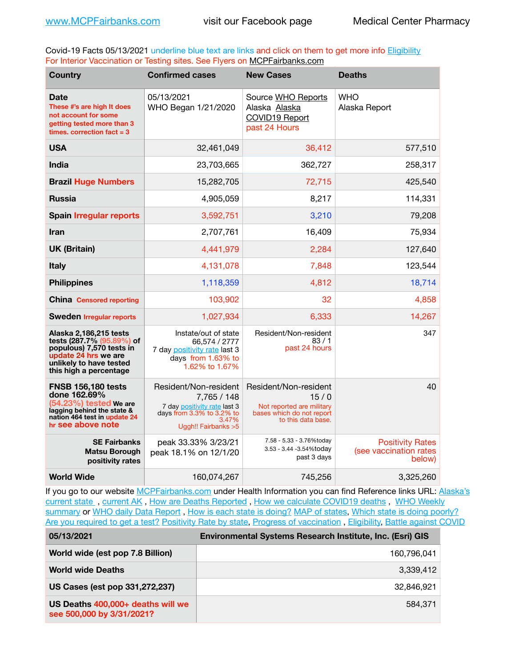Covid-19 Facts 05/13/2021 underline blue text are links and click on them to get more info **Eligibility** For Interior Vaccination or Testing sites. See Flyers on [MCPFairbanks.com](http://www.MCPFairbanks.com)

| <b>Country</b>                                                                                                                                               | <b>Confirmed cases</b>                                                                                                                   | <b>New Cases</b>                                                                                              | <b>Deaths</b>                                               |
|--------------------------------------------------------------------------------------------------------------------------------------------------------------|------------------------------------------------------------------------------------------------------------------------------------------|---------------------------------------------------------------------------------------------------------------|-------------------------------------------------------------|
| <b>Date</b><br>These #'s are high It does<br>not account for some<br>getting tested more than 3<br>times, correction $fact = 3$                              | 05/13/2021<br>WHO Began 1/21/2020                                                                                                        | Source WHO Reports<br>Alaska Alaska<br><b>COVID19 Report</b><br>past 24 Hours                                 | <b>WHO</b><br>Alaska Report                                 |
| <b>USA</b>                                                                                                                                                   | 32,461,049                                                                                                                               | 36,412                                                                                                        | 577,510                                                     |
| India                                                                                                                                                        | 23,703,665                                                                                                                               | 362,727                                                                                                       | 258,317                                                     |
| <b>Brazil Huge Numbers</b>                                                                                                                                   | 15,282,705                                                                                                                               | 72,715                                                                                                        | 425,540                                                     |
| <b>Russia</b>                                                                                                                                                | 4,905,059                                                                                                                                | 8,217                                                                                                         | 114,331                                                     |
| <b>Spain Irregular reports</b>                                                                                                                               | 3,592,751                                                                                                                                | 3,210                                                                                                         | 79,208                                                      |
| <b>Iran</b>                                                                                                                                                  | 2,707,761                                                                                                                                | 16,409                                                                                                        | 75,934                                                      |
| <b>UK (Britain)</b>                                                                                                                                          | 4,441,979                                                                                                                                | 2,284                                                                                                         | 127,640                                                     |
| <b>Italy</b>                                                                                                                                                 | 4,131,078                                                                                                                                | 7,848                                                                                                         | 123,544                                                     |
| <b>Philippines</b>                                                                                                                                           | 1,118,359                                                                                                                                | 4,812                                                                                                         | 18,714                                                      |
| <b>China Censored reporting</b>                                                                                                                              | 103,902                                                                                                                                  | 32                                                                                                            | 4,858                                                       |
| <b>Sweden Irregular reports</b>                                                                                                                              | 1,027,934                                                                                                                                | 6,333                                                                                                         | 14,267                                                      |
| Alaska 2,186,215 tests<br>tests (287.7% (95.89%) of<br>populous) 7,570 tests in<br>update 24 hrs we are<br>unlikely to have tested<br>this high a percentage | Instate/out of state<br>66,574 / 2777<br>7 day positivity rate last 3<br>days from 1.63% to<br>1.62% to 1.67%                            | Resident/Non-resident<br>83/1<br>past 24 hours                                                                | 347                                                         |
| <b>FNSB 156,180 tests</b><br>done 162.69%<br>(54.23%) tested We are<br>lagging behind the state &<br>nation 464 test in update 24<br>hr see above note       | Resident/Non-resident<br>7,765 / 148<br>7 day positivity rate last 3<br>days from $3.3\%$ to $3.2\%$ to<br>3.47%<br>Uggh!! Fairbanks > 5 | Resident/Non-resident<br>15/0<br>Not reported are military<br>bases which do not report<br>to this data base. | 40                                                          |
| <b>SE Fairbanks</b><br><b>Matsu Borough</b><br>positivity rates                                                                                              | peak 33.33% 3/23/21<br>peak 18.1% on 12/1/20                                                                                             | 7.58 - 5.33 - 3.76%today<br>3.53 - 3.44 -3.54%today<br>past 3 days                                            | <b>Positivity Rates</b><br>(see vaccination rates<br>below) |
| <b>World Wide</b>                                                                                                                                            | 160,074,267                                                                                                                              | 745,256                                                                                                       | 3,325,260                                                   |

If you go to our website [MCPFairbanks.com](http://www.MCPFairbanks.com) under Health Information you can find Reference links URL: Alaska's [current state](https://coronavirus-response-alaska-dhss.hub.arcgis.com) , [current AK](http://dhss.alaska.gov/dph/Epi/id/Pages/COVID-19/communications.aspx#cases) , [How are Deaths Reported](http://dhss.alaska.gov/dph/Epi/id/Pages/COVID-19/deathcounts.aspx) , [How we calculate COVID19 deaths](https://coronavirus-response-alaska-dhss.hub.arcgis.com/search?collection=Document&groupIds=41ccb3344ebc4bd682c74073eba21f42) , [WHO Weekly](http://www.who.int)  [summary](http://www.who.int) or [WHO daily Data Report](https://covid19.who.int/table), [How is each state is doing?](https://www.msn.com/en-us/news/us/state-by-state-coronavirus-news/ar-BB13E1PX?fbclid=IwAR0_OBJH7lSyTN3ug_MsOeFnNgB1orTa9OBgilKJ7dhnwlVvHEsptuKkj1c) [MAP of states,](https://www.nationalgeographic.com/science/graphics/graphic-tracking-coronavirus-infections-us?cmpid=org=ngp::mc=crm-email::src=ngp::cmp=editorial::add=SpecialEdition_20210305&rid=B9A6DF5992658E8E35CE023113CFEA4C) [Which state is doing poorly?](https://bestlifeonline.com/covid-outbreak-your-state/?utm_source=nsltr&utm_medium=email&utm_content=covid-outbreak-your-state&utm_campaign=launch) [Are you required to get a test?](http://dhss.alaska.gov/dph/Epi/id/SiteAssets/Pages/HumanCoV/Whattodoafteryourtest.pdf) [Positivity Rate by state](https://coronavirus.jhu.edu/testing/individual-states/alaska), Progress of vaccination, [Eligibility,](http://dhss.alaska.gov/dph/Epi/id/Pages/COVID-19/VaccineAvailability.aspx) [Battle against COVID](https://www.nationalgeographic.com/science/graphics/graphic-tracking-coronavirus-infections-us?cmpid=org=ngp::mc=crm-email::src=ngp::cmp=editorial::add=SpecialEdition_20210219&rid=B9A6DF5992658E8E35CE023113CFEA4C)

| 05/13/2021                                                     | Environmental Systems Research Institute, Inc. (Esri) GIS |
|----------------------------------------------------------------|-----------------------------------------------------------|
| World wide (est pop 7.8 Billion)                               | 160,796,041                                               |
| <b>World wide Deaths</b>                                       | 3,339,412                                                 |
| US Cases (est pop 331,272,237)                                 | 32.846.921                                                |
| US Deaths 400,000+ deaths will we<br>see 500,000 by 3/31/2021? | 584.371                                                   |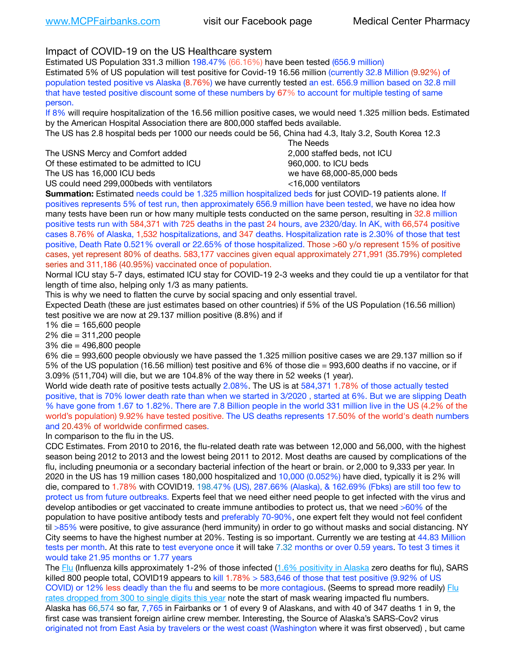Impact of COVID-19 on the US Healthcare system

Estimated US Population 331.3 million 198.47% (66.16%) have been tested (656.9 million) Estimated 5% of US population will test positive for Covid-19 16.56 million (currently 32.8 Million (9.92%) of population tested positive vs Alaska (8.76%) we have currently tested an est. 656.9 million based on 32.8 mill that have tested positive discount some of these numbers by 67% to account for multiple testing of same person.

If 8% will require hospitalization of the 16.56 million positive cases, we would need 1.325 million beds. Estimated by the American Hospital Association there are 800,000 staffed beds available.

The US has 2.8 hospital beds per 1000 our needs could be 56, China had 4.3, Italy 3.2, South Korea 12.3

The USNS Mercy and Comfort added **8.2000** staffed beds, not ICU Of these estimated to be admitted to ICU 860,000. to ICU beds The US has 16,000 ICU beds we have 68,000-85,000 beds

 The Needs US could need 299,000beds with ventilators <16,000 ventilators

**Summation:** Estimated needs could be 1.325 million hospitalized beds for just COVID-19 patients alone. If positives represents 5% of test run, then approximately 656.9 million have been tested, we have no idea how many tests have been run or how many multiple tests conducted on the same person, resulting in 32.8 million positive tests run with 584,371 with 725 deaths in the past 24 hours, ave 2320/day. In AK, with 66,574 positive cases 8.76% of Alaska, 1,532 hospitalizations, and 347 deaths. Hospitalization rate is 2.30% of those that test positive, Death Rate 0.521% overall or 22.65% of those hospitalized. Those >60 y/o represent 15% of positive cases, yet represent 80% of deaths. 583,177 vaccines given equal approximately 271,991 (35.79%) completed series and 311,186 (40.95%) vaccinated once of population.

Normal ICU stay 5-7 days, estimated ICU stay for COVID-19 2-3 weeks and they could tie up a ventilator for that length of time also, helping only 1/3 as many patients.

This is why we need to flatten the curve by social spacing and only essential travel.

Expected Death (these are just estimates based on other countries) if 5% of the US Population (16.56 million) test positive we are now at 29.137 million positive (8.8%) and if

1% die = 165,600 people

2% die = 311,200 people

3% die = 496,800 people

6% die = 993,600 people obviously we have passed the 1.325 million positive cases we are 29.137 million so if 5% of the US population (16.56 million) test positive and 6% of those die = 993,600 deaths if no vaccine, or if 3.09% (511,704) will die, but we are 104.8% of the way there in 52 weeks (1 year).

World wide death rate of positive tests actually 2.08%. The US is at 584,371 1.78% of those actually tested positive, that is 70% lower death rate than when we started in 3/2020 , started at 6%. But we are slipping Death % have gone from 1.67 to 1.82%. There are 7.8 Billion people in the world 331 million live in the US (4.2% of the world's population) 9.92% have tested positive. The US deaths represents 17.50% of the world's death numbers and 20.43% of worldwide confirmed cases.

In comparison to the flu in the US.

CDC Estimates. From 2010 to 2016, the flu-related death rate was between 12,000 and 56,000, with the highest season being 2012 to 2013 and the lowest being 2011 to 2012. Most deaths are caused by complications of the flu, including pneumonia or a secondary bacterial infection of the heart or brain. or 2,000 to 9,333 per year. In 2020 in the US has 19 million cases 180,000 hospitalized and 10,000 (0.052%) have died, typically it is 2% will die, compared to 1.78% with COVID19. 198.47% (US), 287.66% (Alaska), & 162.69% (Fbks) are still too few to protect us from future outbreaks. Experts feel that we need either need people to get infected with the virus and develop antibodies or get vaccinated to create immune antibodies to protect us, that we need >60% of the population to have positive antibody tests and preferably 70-90%, one expert felt they would not feel confident til >85% were positive, to give assurance (herd immunity) in order to go without masks and social distancing. NY City seems to have the highest number at 20%. Testing is so important. Currently we are testing at 44.83 Million tests per month. At this rate to test everyone once it will take 7.32 months or over 0.59 years. To test 3 times it would take 21.95 months or 1.77 years

The [Flu](https://lnks.gd/l/eyJhbGciOiJIUzI1NiJ9.eyJidWxsZXRpbl9saW5rX2lkIjoxMDMsInVyaSI6ImJwMjpjbGljayIsImJ1bGxldGluX2lkIjoiMjAyMTAyMjYuMzYwNDA3NTEiLCJ1cmwiOiJodHRwczovL3d3dy5jZGMuZ292L2ZsdS93ZWVrbHkvb3ZlcnZpZXcuaHRtIn0.ePMA_hsZ-pTnhWSyg1gHvHWYTu2XceVOt0JejxvP1WE/s/500544915/br/98428119752-l) (Influenza kills approximately 1-2% of those infected ([1.6% positivity in Alaska](http://dhss.alaska.gov/dph/Epi/id/SiteAssets/Pages/influenza/trends/Snapshot.pdf) zero deaths for flu), SARS killed 800 people total, COVID19 appears to kill 1.78% > 583,646 of those that test positive (9.92% of US COVID) or 12% less deadly than the flu and seems to be more contagious. (Seems to spread more readily) Flu [rates dropped from 300 to single digits this year](https://lnks.gd/l/eyJhbGciOiJIUzI1NiJ9.eyJidWxsZXRpbl9saW5rX2lkIjoxMDEsInVyaSI6ImJwMjpjbGljayIsImJ1bGxldGluX2lkIjoiMjAyMTAyMjYuMzYwNDA3NTEiLCJ1cmwiOiJodHRwOi8vZGhzcy5hbGFza2EuZ292L2RwaC9FcGkvaWQvUGFnZXMvaW5mbHVlbnphL2ZsdWluZm8uYXNweCJ9.oOe3nt2fww6XpsNhb4FZfmtPfPa-irGaldpkURBJhSo/s/500544915/br/98428119752-l) note the start of mask wearing impacted flu numbers. Alaska has 66,574 so far, 7,765 in Fairbanks or 1 of every 9 of Alaskans, and with 40 of 347 deaths 1 in 9, the first case was transient foreign airline crew member. Interesting, the Source of Alaska's SARS-Cov2 virus originated not from East Asia by travelers or the west coast (Washington where it was first observed) , but came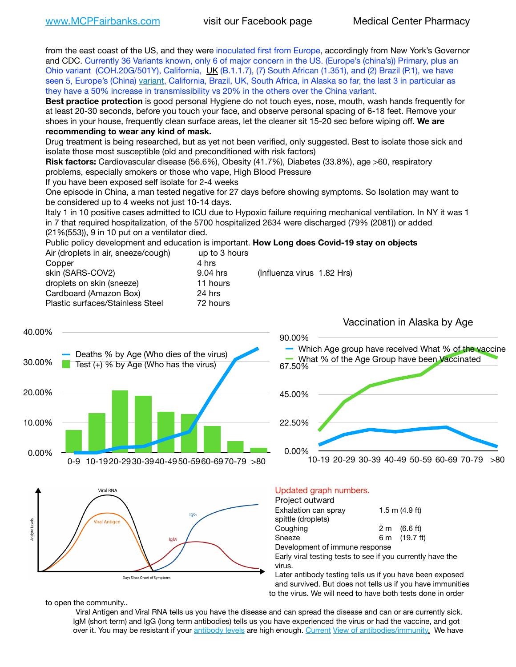from the east coast of the US, and they were inoculated first from Europe, accordingly from New York's Governor and CDC. Currently 36 Variants known, only 6 of major concern in the US. (Europe's (china's)) Primary, plus an Ohio variant (COH.20G/501Y), California, [UK](https://www.cdc.gov/coronavirus/2019-ncov/transmission/variant-cases.html) (B.1.1.7), (7) South African (1.351), and (2) Brazil (P.1), we have seen 5, Europe's (China) [variant,](https://www.webmd.com/lung/news/20210318/cdc-who-create-threat-levels-for-covid-variants?ecd=wnl_cvd_031921&ctr=wnl-cvd-031921&mb=kYbf7DsHb7YGjh/1RUkcAW0T6iorImAU1TDZh18RYs0=_Support_titleLink_2) California, Brazil, UK, South Africa, in Alaska so far, the last 3 in particular as they have a 50% increase in transmissibility vs 20% in the others over the China variant.

**Best practice protection** is good personal Hygiene do not touch eyes, nose, mouth, wash hands frequently for at least 20-30 seconds, before you touch your face, and observe personal spacing of 6-18 feet. Remove your shoes in your house, frequently clean surface areas, let the cleaner sit 15-20 sec before wiping off. **We are recommending to wear any kind of mask.**

Drug treatment is being researched, but as yet not been verified, only suggested. Best to isolate those sick and isolate those most susceptible (old and preconditioned with risk factors)

**Risk factors:** Cardiovascular disease (56.6%), Obesity (41.7%), Diabetes (33.8%), age >60, respiratory problems, especially smokers or those who vape, High Blood Pressure

If you have been exposed self isolate for 2-4 weeks

One episode in China, a man tested negative for 27 days before showing symptoms. So Isolation may want to be considered up to 4 weeks not just 10-14 days.

Italy 1 in 10 positive cases admitted to ICU due to Hypoxic failure requiring mechanical ventilation. In NY it was 1 in 7 that required hospitalization, of the 5700 hospitalized 2634 were discharged (79% (2081)) or added (21%(553)), 9 in 10 put on a ventilator died.

Public policy development and education is important. **How Long does Covid-19 stay on objects** Air (droplets in air, sneeze/cough) up to 3 hours

| Copper                           | 4 hrs    |                            |
|----------------------------------|----------|----------------------------|
| skin (SARS-COV2)                 | 9.04 hrs | (Influenza virus 1.82 Hrs) |
| droplets on skin (sneeze)        | 11 hours |                            |
| Cardboard (Amazon Box)           | 24 hrs   |                            |
| Plastic surfaces/Stainless Steel | 72 hours |                            |
|                                  |          |                            |



Later antibody testing tells us if you have been exposed and survived. But does not tells us if you have immunities to the virus. We will need to have both tests done in order

to open the community..

Days Since Onset of Symptom:

Viral Antigen and Viral RNA tells us you have the disease and can spread the disease and can or are currently sick. IgM (short term) and IgG (long term antibodies) tells us you have experienced the virus or had the vaccine, and got over it. You may be resistant if your [antibody levels](https://www.cdc.gov/coronavirus/2019-ncov/lab/resources/antibody-tests.html) are high enough. [Current](https://l.facebook.com/l.php?u=https://www.itv.com/news/2020-10-26/covid-19-antibody-levels-reduce-over-time-study-finds?fbclid=IwAR3Dapzh1qIH1EIOdUQI2y8THf7jfA4KBCaJz8Qg-8xe1YsrR4nsAHDIXSY&h=AT30nut8pkqp0heVuz5W2rT2WFFm-2Ab52BsJxZZCNlGsX58IpPkuVEPULbIUV_M16MAukx1Kwb657DPXxsgDN1rpOQ4gqBtQsmVYiWpnHPJo2RQsU6CPMd14lgLnQnFWxfVi6zvmw&__tn__=-UK-R&c%5B0%5D=AT1GaRAfR_nGAyqcn7TI1-PpvqOqEKXHnz6TDWvRStMnOSH7boQDvTiwTOc6VId9UES6LKiOmm2m88wKCoolkJyOFvakt2Z1Mw8toYWGGoWW23r0MNVBl7cYJXB_UOvGklNHaNnaNr1_S7NhT3BSykNOBg) [View of antibodies/immunity](https://www.livescience.com/antibodies.html)[.](https://www.itv.com/news/2020-10-26/covid-19-antibody-levels-reduce-over-time-study-finds) We have

Vaccination in Alaska by Age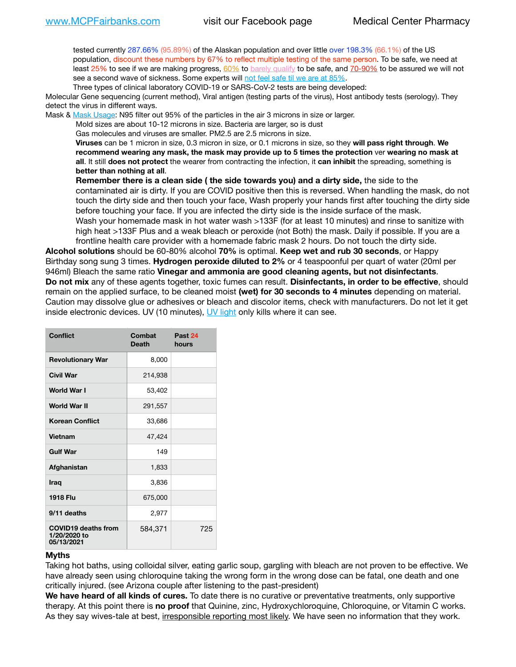tested currently 287.66% (95.89%) of the Alaskan population and over little over 198.3% (66.1%) of the US population, discount these numbers by 67% to reflect multiple testing of the same person. To be safe, we need at least 25% to see if we are making progress,  $60\%$  to [barely qualify](https://www.nature.com/articles/d41586-020-02948-4) to be safe, and  $70-90\%$  to be assured we will not see a second wave of sickness. Some experts will [not feel safe til we are at 85%.](https://www.bannerhealth.com/healthcareblog/teach-me/what-is-herd-immunity)

Three types of clinical laboratory COVID-19 or SARS-CoV-2 tests are being developed:

Molecular Gene sequencing (current method), Viral antigen (testing parts of the virus), Host antibody tests (serology). They detect the virus in different ways.

Mask & [Mask Usage:](https://www.nationalgeographic.com/history/2020/03/how-cities-flattened-curve-1918-spanish-flu-pandemic-coronavirus/) N95 filter out 95% of the particles in the air 3 microns in size or larger.

Mold sizes are about 10-12 microns in size. Bacteria are larger, so is dust

Gas molecules and viruses are smaller. PM2.5 are 2.5 microns in size.

**Viruses** can be 1 micron in size, 0.3 micron in size, or 0.1 microns in size, so they **will pass right through**. **We recommend wearing any mask, the mask may provide up to 5 times the protection** ver **wearing no mask at all**. It still **does not protect** the wearer from contracting the infection, it **can inhibit** the spreading, something is **better than nothing at all**.

**Remember there is a clean side ( the side towards you) and a dirty side,** the side to the contaminated air is dirty. If you are COVID positive then this is reversed. When handling the mask, do not touch the dirty side and then touch your face, Wash properly your hands first after touching the dirty side before touching your face. If you are infected the dirty side is the inside surface of the mask. Wash your homemade mask in hot water wash >133F (for at least 10 minutes) and rinse to sanitize with high heat >133F Plus and a weak bleach or peroxide (not Both) the mask. Daily if possible. If you are a

frontline health care provider with a homemade fabric mask 2 hours. Do not touch the dirty side. **Alcohol solutions** should be 60-80% alcohol **70%** is optimal. **Keep wet and rub 30 seconds**, or Happy Birthday song sung 3 times. **Hydrogen peroxide diluted to 2%** or 4 teaspoonful per quart of water (20ml per 946ml) Bleach the same ratio **Vinegar and ammonia are good cleaning agents, but not disinfectants**. **Do not mix** any of these agents together, toxic fumes can result. **Disinfectants, in order to be effective**, should remain on the applied surface, to be cleaned moist **(wet) for 30 seconds to 4 minutes** depending on material. Caution may dissolve glue or adhesives or bleach and discolor items, check with manufacturers. Do not let it get inside electronic devices. UV (10 minutes), [UV light](http://www.docreviews.me/best-uv-boxes-2020/?fbclid=IwAR3bvFtXB48OoBBSvYvTEnKuHNPbipxM6jUo82QUSw9wckxjC7wwRZWabGw) only kills where it can see.

| <b>Conflict</b>                                          | Combat<br><b>Death</b> | Past 24<br>hours |
|----------------------------------------------------------|------------------------|------------------|
| <b>Revolutionary War</b>                                 | 8,000                  |                  |
| <b>Civil War</b>                                         | 214,938                |                  |
| World War I                                              | 53,402                 |                  |
| <b>World War II</b>                                      | 291,557                |                  |
| <b>Korean Conflict</b>                                   | 33,686                 |                  |
| <b>Vietnam</b>                                           | 47,424                 |                  |
| <b>Gulf War</b>                                          | 149                    |                  |
| Afghanistan                                              | 1,833                  |                  |
| <b>Iraq</b>                                              | 3,836                  |                  |
| <b>1918 Flu</b>                                          | 675,000                |                  |
| 9/11 deaths                                              | 2,977                  |                  |
| <b>COVID19 deaths from</b><br>1/20/2020 to<br>05/13/2021 | 584,371                | 725              |

## **Myths**

Taking hot baths, using colloidal silver, eating garlic soup, gargling with bleach are not proven to be effective. We have already seen using chloroquine taking the wrong form in the wrong dose can be fatal, one death and one critically injured. (see Arizona couple after listening to the past-president)

**We have heard of all kinds of cures.** To date there is no curative or preventative treatments, only supportive therapy. At this point there is **no proof** that Quinine, zinc, Hydroxychloroquine, Chloroquine, or Vitamin C works. As they say wives-tale at best, irresponsible reporting most likely. We have seen no information that they work.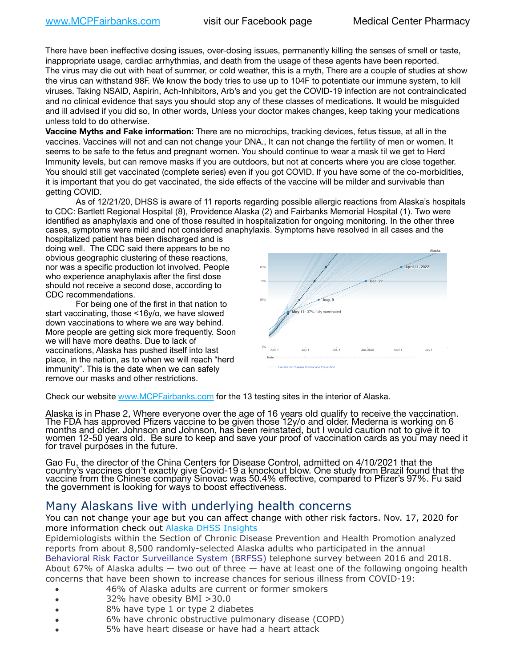There have been ineffective dosing issues, over-dosing issues, permanently killing the senses of smell or taste, inappropriate usage, cardiac arrhythmias, and death from the usage of these agents have been reported. The virus may die out with heat of summer, or cold weather, this is a myth, There are a couple of studies at show the virus can withstand 98F. We know the body tries to use up to 104F to potentiate our immune system, to kill viruses. Taking NSAID, Aspirin, Ach-Inhibitors, Arb's and you get the COVID-19 infection are not contraindicated and no clinical evidence that says you should stop any of these classes of medications. It would be misguided and ill advised if you did so, In other words, Unless your doctor makes changes, keep taking your medications unless told to do otherwise.

**Vaccine Myths and Fake information:** There are no microchips, tracking devices, fetus tissue, at all in the vaccines. Vaccines will not and can not change your DNA., It can not change the fertility of men or women. It seems to be safe to the fetus and pregnant women. You should continue to wear a mask til we get to Herd Immunity levels, but can remove masks if you are outdoors, but not at concerts where you are close together. You should still get vaccinated (complete series) even if you got COVID. If you have some of the co-morbidities, it is important that you do get vaccinated, the side effects of the vaccine will be milder and survivable than getting COVID.

As of 12/21/20, DHSS is aware of 11 reports regarding possible allergic reactions from Alaska's hospitals to CDC: Bartlett Regional Hospital (8), Providence Alaska (2) and Fairbanks Memorial Hospital (1). Two were identified as anaphylaxis and one of those resulted in hospitalization for ongoing monitoring. In the other three cases, symptoms were mild and not considered anaphylaxis. Symptoms have resolved in all cases and the United States

hospitalized patient has been discharged and is doing well. The CDC said there appears to be no obvious geographic clustering of these reactions, nor was a specific production lot involved. People who experience anaphylaxis after the first dose should not receive a second dose, according to CDC recommendations.

For being one of the first in that nation to start vaccinating, those <16y/o, we have slowed down vaccinations to where we are way behind. More people are getting sick more frequently. Soon we will have more deaths. Due to lack of vaccinations, Alaska has pushed itself into last place, in the nation, as to when we will reach "herd immunity". This is the date when we can safely remove our masks and other restrictions.



Check our website [www.MCPFairbanks.com](http://www.MCPFairbanks.com) for the 13 testing sites in the interior of Alaska.

Alaska is in Phase 2, Where everyone over the age of 16 years old qualify to receive the vaccination. The FDA has approved Pfizers vaccine to be given those 12y/o and older. Mederna is working on 6<br>months and older. Johnson and Johnson, has been reinstated, but I would caution not to give it to women 12-50 years old. Be sure to keep and save your proof of vaccination cards as you may need it for travel purpóses in the future.

Gao Fu, the director of the China Centers for Disease Control, admitted on 4/10/2021 that the country's vaccines don't exactly give Covid-19 a knockout blow. One study from Brazil found that the vaccine from the Chinese company Sinovac was 50.4% effective, compared to Pfizer's 97%. Fu said the government is looking for ways to boost effectiveness.

## Many Alaskans live with underlying health concerns

You can not change your age but you can affect change with other risk factors. Nov. 17, 2020 for more information check out **[Alaska DHSS Insights](http://dhss.alaska.gov/dph/Epi/id/Pages/COVID-19/blog/20201117.aspx)** 

Epidemiologists within the Section of Chronic Disease Prevention and Health Promotion analyzed reports from about 8,500 randomly-selected Alaska adults who participated in the annual [Behavioral Risk Factor Surveillance System \(BRFSS\)](http://dhss.alaska.gov/dph/Chronic/Pages/brfss/default.aspx) telephone survey between 2016 and 2018. About 67% of Alaska adults — two out of three — have at least one of the following ongoing health concerns that have been shown to increase chances for serious illness from COVID-19:

- 46% of Alaska adults are current or former smokers
- 32% have obesity BMI >30.0
- 8% have type 1 or type 2 diabetes
- 6% have chronic obstructive pulmonary disease (COPD)
- 5% have heart disease or have had a heart attack